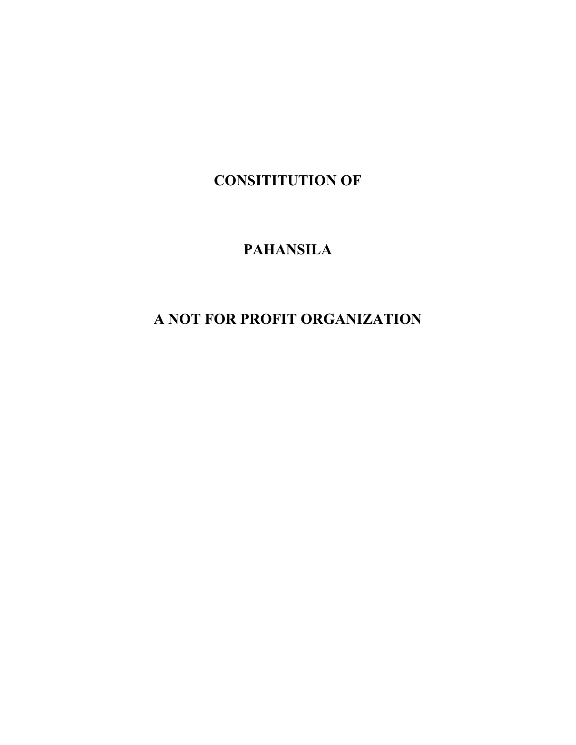CONSITITUTION OF

## PAHANSILA

# A NOT FOR PROFIT ORGANIZATION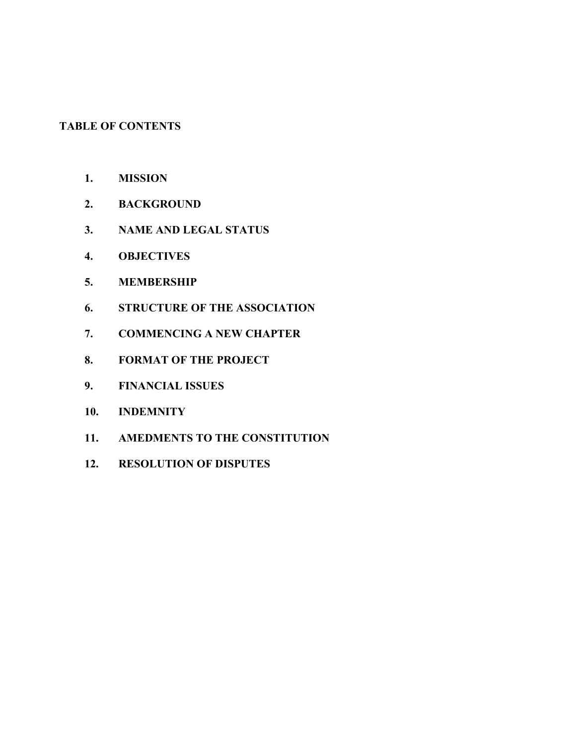## TABLE OF CONTENTS

- 1. MISSION
- 2. BACKGROUND
- 3. NAME AND LEGAL STATUS
- 4. OBJECTIVES
- 5. MEMBERSHIP
- 6. STRUCTURE OF THE ASSOCIATION
- 7. COMMENCING A NEW CHAPTER
- 8. FORMAT OF THE PROJECT
- 9. FINANCIAL ISSUES
- 10. INDEMNITY
- 11. AMEDMENTS TO THE CONSTITUTION
- 12. RESOLUTION OF DISPUTES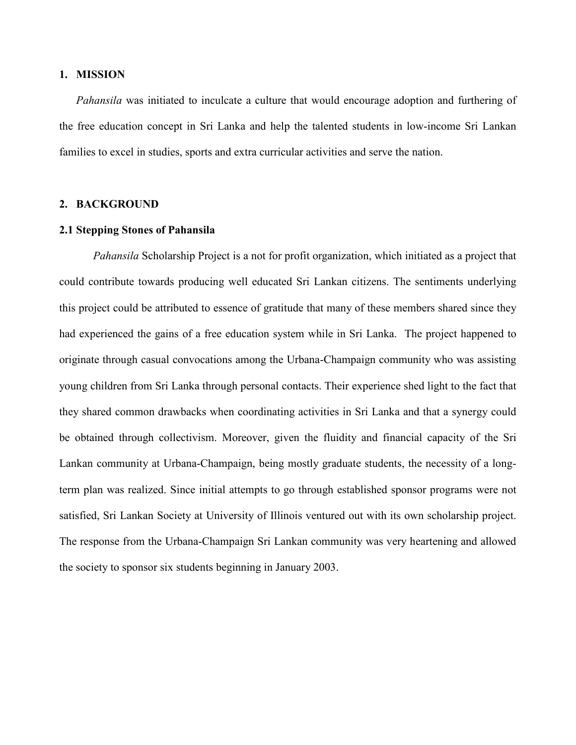## 1. MISSION

Pahansila was initiated to inculcate a culture that would encourage adoption and furthering of the free education concept in Sri Lanka and help the talented students in low-income Sri Lankan families to excel in studies, sports and extra curricular activities and serve the nation.

## 2. BACKGROUND

## 2.1 Stepping Stones of Pahansila

Pahansila Scholarship Project is a not for profit organization, which initiated as a project that could contribute towards producing well educated Sri Lankan citizens. The sentiments underlying this project could be attributed to essence of gratitude that many of these members shared since they had experienced the gains of a free education system while in Sri Lanka. The project happened to originate through casual convocations among the Urbana-Champaign community who was assisting young children from Sri Lanka through personal contacts. Their experience shed light to the fact that they shared common drawbacks when coordinating activities in Sri Lanka and that a synergy could be obtained through collectivism. Moreover, given the fluidity and financial capacity of the Sri Lankan community at Urbana-Champaign, being mostly graduate students, the necessity of a longterm plan was realized. Since initial attempts to go through established sponsor programs were not satisfied, Sri Lankan Society at University of Illinois ventured out with its own scholarship project. The response from the Urbana-Champaign Sri Lankan community was very heartening and allowed the society to sponsor six students beginning in January 2003.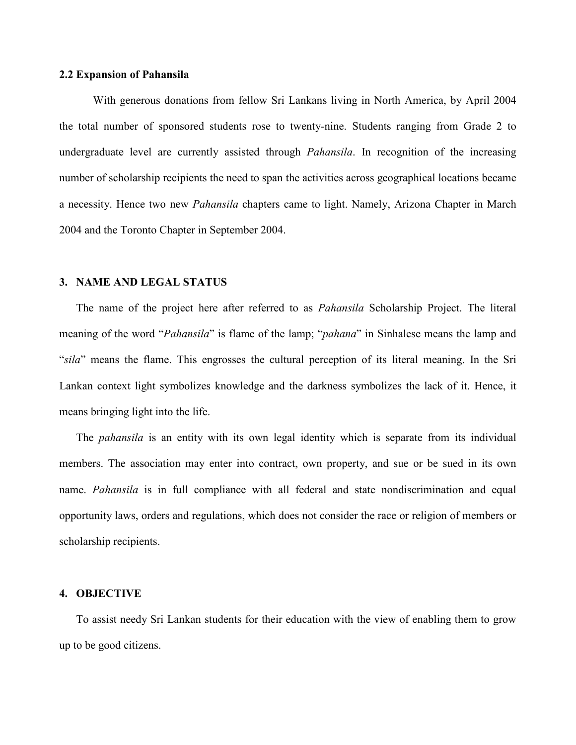## 2.2 Expansion of Pahansila

With generous donations from fellow Sri Lankans living in North America, by April 2004 the total number of sponsored students rose to twenty-nine. Students ranging from Grade 2 to undergraduate level are currently assisted through *Pahansila*. In recognition of the increasing number of scholarship recipients the need to span the activities across geographical locations became a necessity. Hence two new Pahansila chapters came to light. Namely, Arizona Chapter in March 2004 and the Toronto Chapter in September 2004.

## 3. NAME AND LEGAL STATUS

The name of the project here after referred to as Pahansila Scholarship Project. The literal meaning of the word "*Pahansila*" is flame of the lamp; "*pahana*" in Sinhalese means the lamp and "sila" means the flame. This engrosses the cultural perception of its literal meaning. In the Sri Lankan context light symbolizes knowledge and the darkness symbolizes the lack of it. Hence, it means bringing light into the life.

The *pahansila* is an entity with its own legal identity which is separate from its individual members. The association may enter into contract, own property, and sue or be sued in its own name. Pahansila is in full compliance with all federal and state nondiscrimination and equal opportunity laws, orders and regulations, which does not consider the race or religion of members or scholarship recipients.

## 4. OBJECTIVE

To assist needy Sri Lankan students for their education with the view of enabling them to grow up to be good citizens.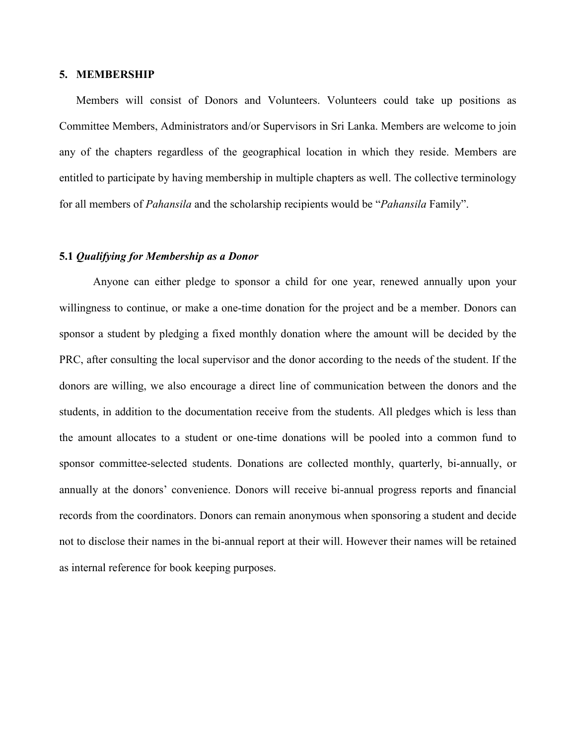#### 5. MEMBERSHIP

Members will consist of Donors and Volunteers. Volunteers could take up positions as Committee Members, Administrators and/or Supervisors in Sri Lanka. Members are welcome to join any of the chapters regardless of the geographical location in which they reside. Members are entitled to participate by having membership in multiple chapters as well. The collective terminology for all members of *Pahansila* and the scholarship recipients would be "*Pahansila* Family".

#### 5.1 Qualifying for Membership as a Donor

Anyone can either pledge to sponsor a child for one year, renewed annually upon your willingness to continue, or make a one-time donation for the project and be a member. Donors can sponsor a student by pledging a fixed monthly donation where the amount will be decided by the PRC, after consulting the local supervisor and the donor according to the needs of the student. If the donors are willing, we also encourage a direct line of communication between the donors and the students, in addition to the documentation receive from the students. All pledges which is less than the amount allocates to a student or one-time donations will be pooled into a common fund to sponsor committee-selected students. Donations are collected monthly, quarterly, bi-annually, or annually at the donors' convenience. Donors will receive bi-annual progress reports and financial records from the coordinators. Donors can remain anonymous when sponsoring a student and decide not to disclose their names in the bi-annual report at their will. However their names will be retained as internal reference for book keeping purposes.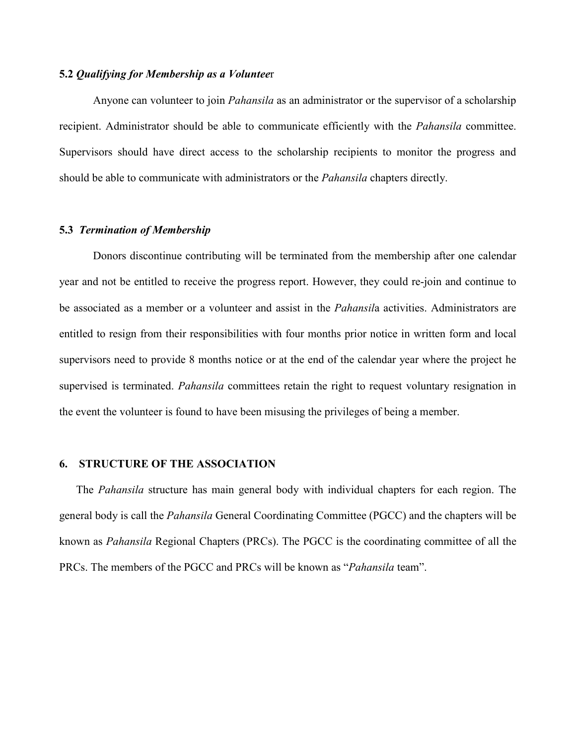## 5.2 Qualifying for Membership as a Volunteer

Anyone can volunteer to join *Pahansila* as an administrator or the supervisor of a scholarship recipient. Administrator should be able to communicate efficiently with the Pahansila committee. Supervisors should have direct access to the scholarship recipients to monitor the progress and should be able to communicate with administrators or the Pahansila chapters directly.

## 5.3 Termination of Membership

Donors discontinue contributing will be terminated from the membership after one calendar year and not be entitled to receive the progress report. However, they could re-join and continue to be associated as a member or a volunteer and assist in the *Pahansila* activities. Administrators are entitled to resign from their responsibilities with four months prior notice in written form and local supervisors need to provide 8 months notice or at the end of the calendar year where the project he supervised is terminated. *Pahansila* committees retain the right to request voluntary resignation in the event the volunteer is found to have been misusing the privileges of being a member.

## 6. STRUCTURE OF THE ASSOCIATION

The Pahansila structure has main general body with individual chapters for each region. The general body is call the Pahansila General Coordinating Committee (PGCC) and the chapters will be known as Pahansila Regional Chapters (PRCs). The PGCC is the coordinating committee of all the PRCs. The members of the PGCC and PRCs will be known as "*Pahansila* team".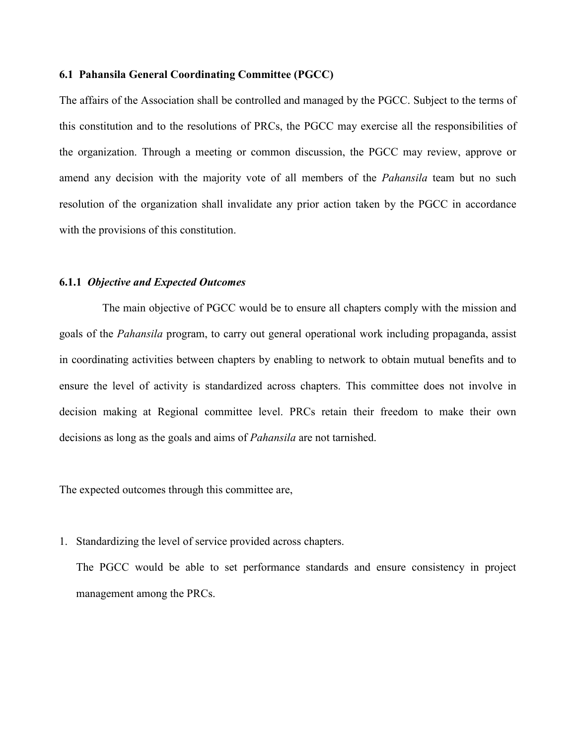## 6.1 Pahansila General Coordinating Committee (PGCC)

The affairs of the Association shall be controlled and managed by the PGCC. Subject to the terms of this constitution and to the resolutions of PRCs, the PGCC may exercise all the responsibilities of the organization. Through a meeting or common discussion, the PGCC may review, approve or amend any decision with the majority vote of all members of the *Pahansila* team but no such resolution of the organization shall invalidate any prior action taken by the PGCC in accordance with the provisions of this constitution.

## 6.1.1 Objective and Expected Outcomes

 The main objective of PGCC would be to ensure all chapters comply with the mission and goals of the Pahansila program, to carry out general operational work including propaganda, assist in coordinating activities between chapters by enabling to network to obtain mutual benefits and to ensure the level of activity is standardized across chapters. This committee does not involve in decision making at Regional committee level. PRCs retain their freedom to make their own decisions as long as the goals and aims of Pahansila are not tarnished.

The expected outcomes through this committee are,

1. Standardizing the level of service provided across chapters.

The PGCC would be able to set performance standards and ensure consistency in project management among the PRCs.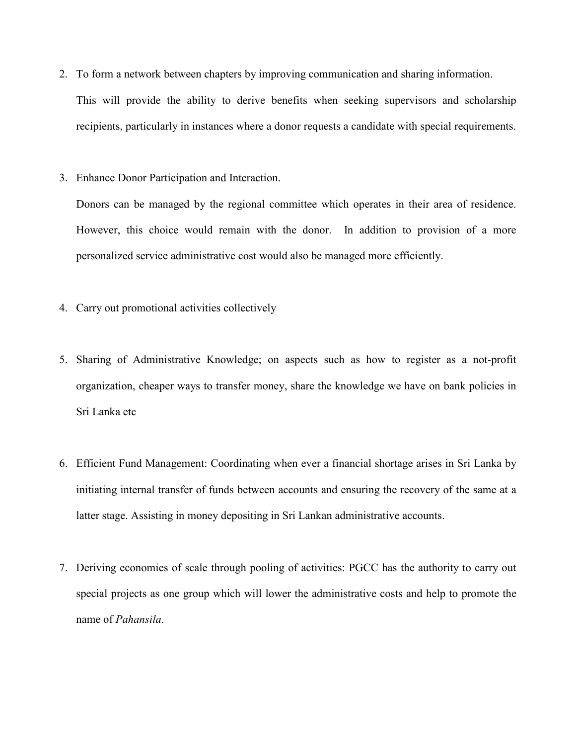2. To form a network between chapters by improving communication and sharing information.

This will provide the ability to derive benefits when seeking supervisors and scholarship recipients, particularly in instances where a donor requests a candidate with special requirements.

3. Enhance Donor Participation and Interaction.

Donors can be managed by the regional committee which operates in their area of residence. However, this choice would remain with the donor. In addition to provision of a more personalized service administrative cost would also be managed more efficiently.

- 4. Carry out promotional activities collectively
- 5. Sharing of Administrative Knowledge; on aspects such as how to register as a not-profit organization, cheaper ways to transfer money, share the knowledge we have on bank policies in Sri Lanka etc
- 6. Efficient Fund Management: Coordinating when ever a financial shortage arises in Sri Lanka by initiating internal transfer of funds between accounts and ensuring the recovery of the same at a latter stage. Assisting in money depositing in Sri Lankan administrative accounts.
- 7. Deriving economies of scale through pooling of activities: PGCC has the authority to carry out special projects as one group which will lower the administrative costs and help to promote the name of Pahansila.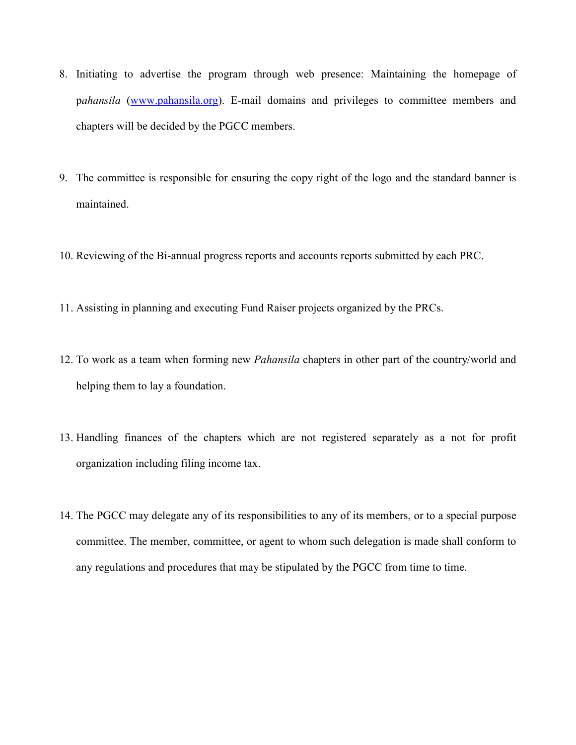- 8. Initiating to advertise the program through web presence: Maintaining the homepage of pahansila (www.pahansila.org). E-mail domains and privileges to committee members and chapters will be decided by the PGCC members.
- 9. The committee is responsible for ensuring the copy right of the logo and the standard banner is maintained.
- 10. Reviewing of the Bi-annual progress reports and accounts reports submitted by each PRC.
- 11. Assisting in planning and executing Fund Raiser projects organized by the PRCs.
- 12. To work as a team when forming new *Pahansila* chapters in other part of the country/world and helping them to lay a foundation.
- 13. Handling finances of the chapters which are not registered separately as a not for profit organization including filing income tax.
- 14. The PGCC may delegate any of its responsibilities to any of its members, or to a special purpose committee. The member, committee, or agent to whom such delegation is made shall conform to any regulations and procedures that may be stipulated by the PGCC from time to time.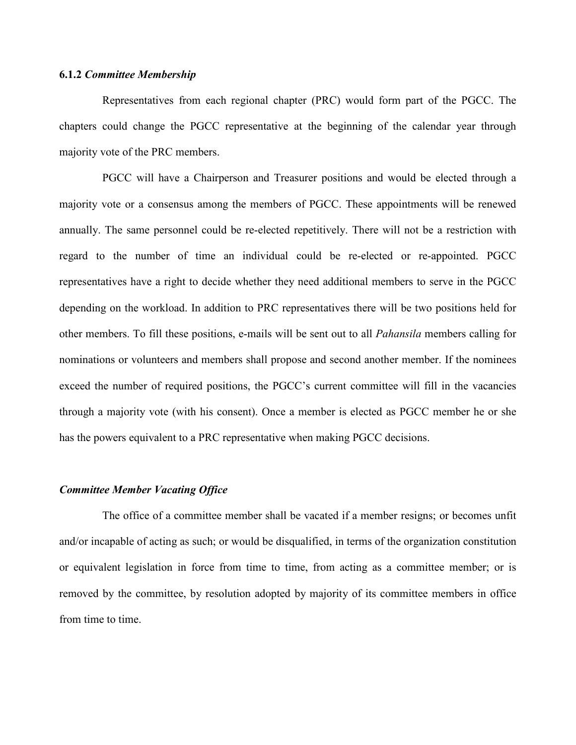## 6.1.2 Committee Membership

 Representatives from each regional chapter (PRC) would form part of the PGCC. The chapters could change the PGCC representative at the beginning of the calendar year through majority vote of the PRC members.

 PGCC will have a Chairperson and Treasurer positions and would be elected through a majority vote or a consensus among the members of PGCC. These appointments will be renewed annually. The same personnel could be re-elected repetitively. There will not be a restriction with regard to the number of time an individual could be re-elected or re-appointed. PGCC representatives have a right to decide whether they need additional members to serve in the PGCC depending on the workload. In addition to PRC representatives there will be two positions held for other members. To fill these positions, e-mails will be sent out to all Pahansila members calling for nominations or volunteers and members shall propose and second another member. If the nominees exceed the number of required positions, the PGCC's current committee will fill in the vacancies through a majority vote (with his consent). Once a member is elected as PGCC member he or she has the powers equivalent to a PRC representative when making PGCC decisions.

## Committee Member Vacating Office

 The office of a committee member shall be vacated if a member resigns; or becomes unfit and/or incapable of acting as such; or would be disqualified, in terms of the organization constitution or equivalent legislation in force from time to time, from acting as a committee member; or is removed by the committee, by resolution adopted by majority of its committee members in office from time to time.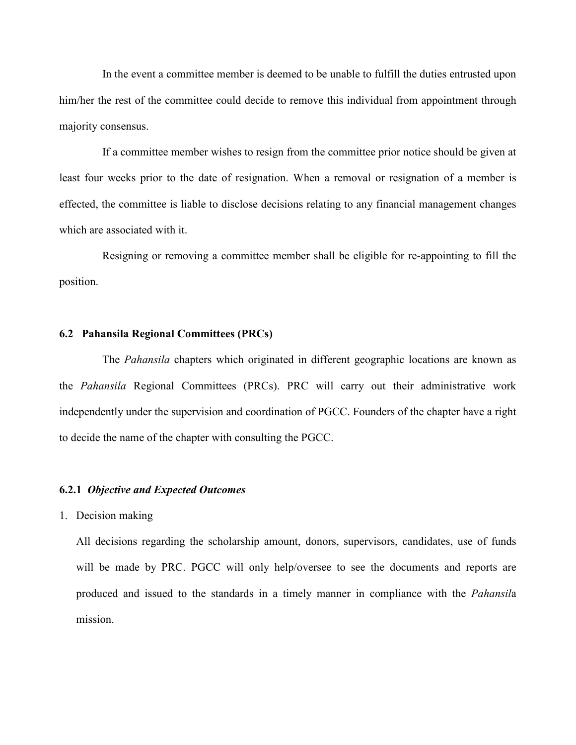In the event a committee member is deemed to be unable to fulfill the duties entrusted upon him/her the rest of the committee could decide to remove this individual from appointment through majority consensus.

 If a committee member wishes to resign from the committee prior notice should be given at least four weeks prior to the date of resignation. When a removal or resignation of a member is effected, the committee is liable to disclose decisions relating to any financial management changes which are associated with it.

 Resigning or removing a committee member shall be eligible for re-appointing to fill the position.

## 6.2 Pahansila Regional Committees (PRCs)

 The Pahansila chapters which originated in different geographic locations are known as the Pahansila Regional Committees (PRCs). PRC will carry out their administrative work independently under the supervision and coordination of PGCC. Founders of the chapter have a right to decide the name of the chapter with consulting the PGCC.

## 6.2.1 Objective and Expected Outcomes

1. Decision making

All decisions regarding the scholarship amount, donors, supervisors, candidates, use of funds will be made by PRC. PGCC will only help/oversee to see the documents and reports are produced and issued to the standards in a timely manner in compliance with the Pahansila mission.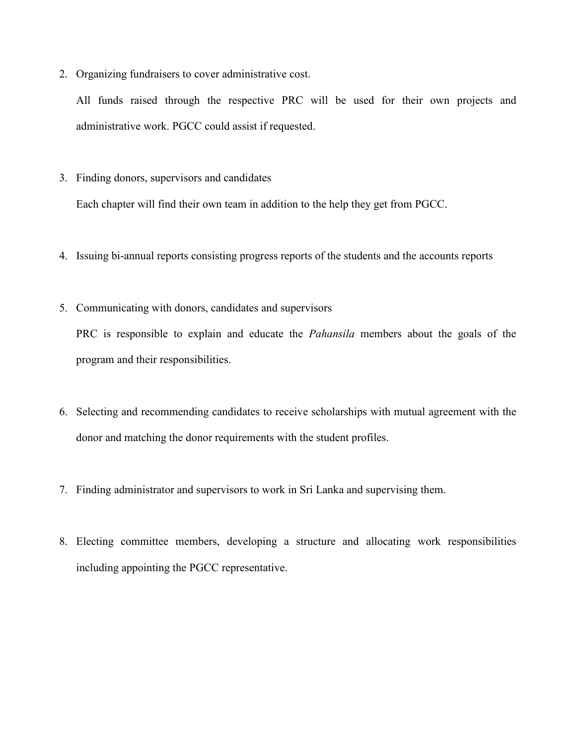2. Organizing fundraisers to cover administrative cost.

All funds raised through the respective PRC will be used for their own projects and administrative work. PGCC could assist if requested.

3. Finding donors, supervisors and candidates

Each chapter will find their own team in addition to the help they get from PGCC.

- 4. Issuing bi-annual reports consisting progress reports of the students and the accounts reports
- 5. Communicating with donors, candidates and supervisors

PRC is responsible to explain and educate the Pahansila members about the goals of the program and their responsibilities.

- 6. Selecting and recommending candidates to receive scholarships with mutual agreement with the donor and matching the donor requirements with the student profiles.
- 7. Finding administrator and supervisors to work in Sri Lanka and supervising them.
- 8. Electing committee members, developing a structure and allocating work responsibilities including appointing the PGCC representative.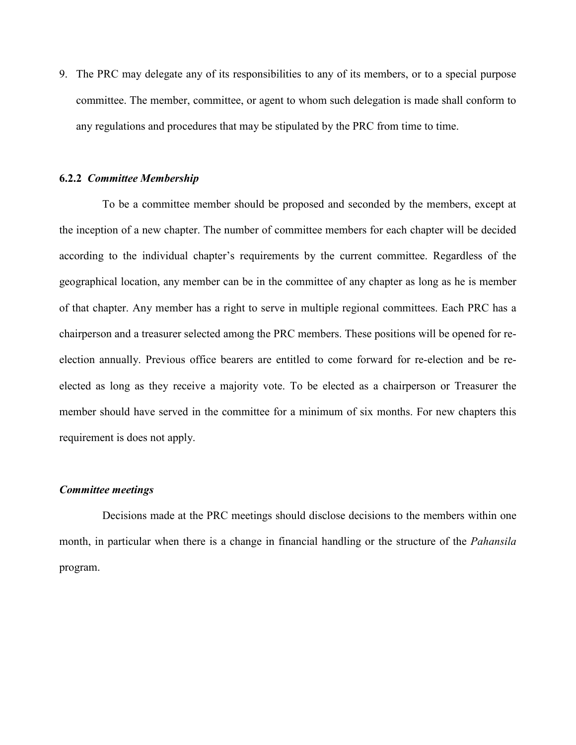9. The PRC may delegate any of its responsibilities to any of its members, or to a special purpose committee. The member, committee, or agent to whom such delegation is made shall conform to any regulations and procedures that may be stipulated by the PRC from time to time.

## 6.2.2 Committee Membership

 To be a committee member should be proposed and seconded by the members, except at the inception of a new chapter. The number of committee members for each chapter will be decided according to the individual chapter's requirements by the current committee. Regardless of the geographical location, any member can be in the committee of any chapter as long as he is member of that chapter. Any member has a right to serve in multiple regional committees. Each PRC has a chairperson and a treasurer selected among the PRC members. These positions will be opened for reelection annually. Previous office bearers are entitled to come forward for re-election and be reelected as long as they receive a majority vote. To be elected as a chairperson or Treasurer the member should have served in the committee for a minimum of six months. For new chapters this requirement is does not apply.

#### Committee meetings

 Decisions made at the PRC meetings should disclose decisions to the members within one month, in particular when there is a change in financial handling or the structure of the *Pahansila* program.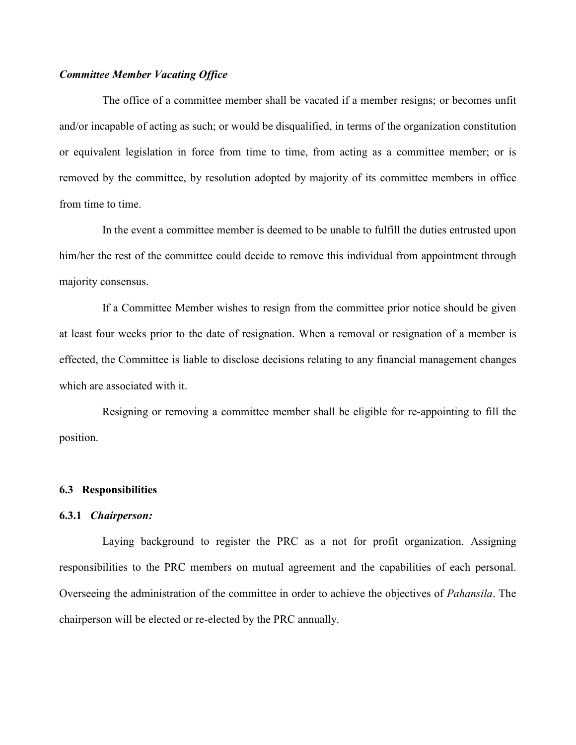## Committee Member Vacating Office

 The office of a committee member shall be vacated if a member resigns; or becomes unfit and/or incapable of acting as such; or would be disqualified, in terms of the organization constitution or equivalent legislation in force from time to time, from acting as a committee member; or is removed by the committee, by resolution adopted by majority of its committee members in office from time to time.

 In the event a committee member is deemed to be unable to fulfill the duties entrusted upon him/her the rest of the committee could decide to remove this individual from appointment through majority consensus.

 If a Committee Member wishes to resign from the committee prior notice should be given at least four weeks prior to the date of resignation. When a removal or resignation of a member is effected, the Committee is liable to disclose decisions relating to any financial management changes which are associated with it.

 Resigning or removing a committee member shall be eligible for re-appointing to fill the position.

## 6.3 Responsibilities

## 6.3.1 Chairperson:

 Laying background to register the PRC as a not for profit organization. Assigning responsibilities to the PRC members on mutual agreement and the capabilities of each personal. Overseeing the administration of the committee in order to achieve the objectives of Pahansila. The chairperson will be elected or re-elected by the PRC annually.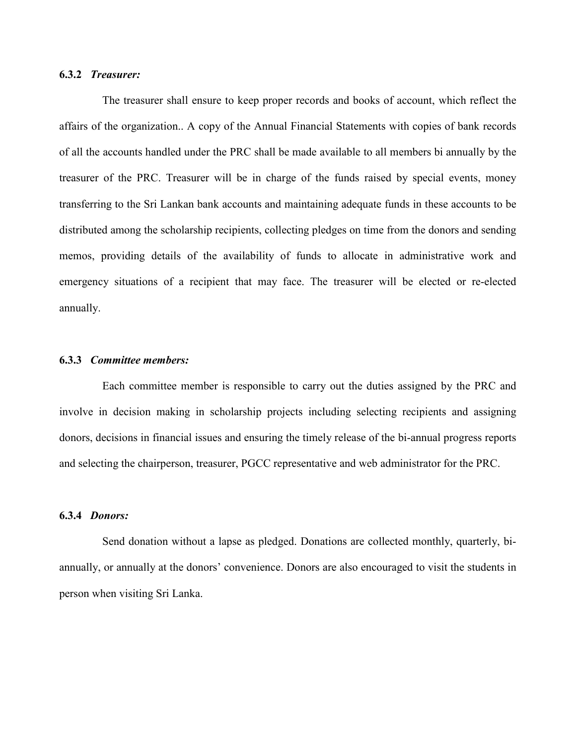## 6.3.2 Treasurer:

 The treasurer shall ensure to keep proper records and books of account, which reflect the affairs of the organization.. A copy of the Annual Financial Statements with copies of bank records of all the accounts handled under the PRC shall be made available to all members bi annually by the treasurer of the PRC. Treasurer will be in charge of the funds raised by special events, money transferring to the Sri Lankan bank accounts and maintaining adequate funds in these accounts to be distributed among the scholarship recipients, collecting pledges on time from the donors and sending memos, providing details of the availability of funds to allocate in administrative work and emergency situations of a recipient that may face. The treasurer will be elected or re-elected annually.

#### 6.3.3 Committee members:

 Each committee member is responsible to carry out the duties assigned by the PRC and involve in decision making in scholarship projects including selecting recipients and assigning donors, decisions in financial issues and ensuring the timely release of the bi-annual progress reports and selecting the chairperson, treasurer, PGCC representative and web administrator for the PRC.

## 6.3.4 Donors:

 Send donation without a lapse as pledged. Donations are collected monthly, quarterly, biannually, or annually at the donors' convenience. Donors are also encouraged to visit the students in person when visiting Sri Lanka.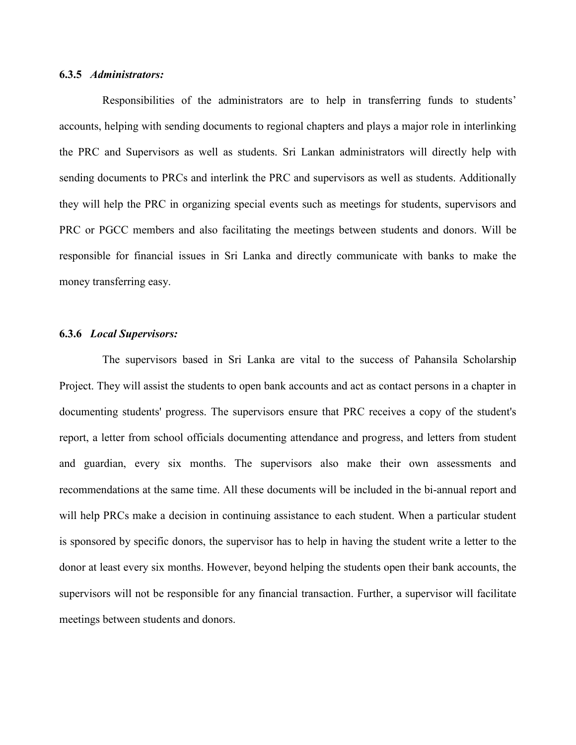## 6.3.5 Administrators:

Responsibilities of the administrators are to help in transferring funds to students' accounts, helping with sending documents to regional chapters and plays a major role in interlinking the PRC and Supervisors as well as students. Sri Lankan administrators will directly help with sending documents to PRCs and interlink the PRC and supervisors as well as students. Additionally they will help the PRC in organizing special events such as meetings for students, supervisors and PRC or PGCC members and also facilitating the meetings between students and donors. Will be responsible for financial issues in Sri Lanka and directly communicate with banks to make the money transferring easy.

## 6.3.6 Local Supervisors:

 The supervisors based in Sri Lanka are vital to the success of Pahansila Scholarship Project. They will assist the students to open bank accounts and act as contact persons in a chapter in documenting students' progress. The supervisors ensure that PRC receives a copy of the student's report, a letter from school officials documenting attendance and progress, and letters from student and guardian, every six months. The supervisors also make their own assessments and recommendations at the same time. All these documents will be included in the bi-annual report and will help PRCs make a decision in continuing assistance to each student. When a particular student is sponsored by specific donors, the supervisor has to help in having the student write a letter to the donor at least every six months. However, beyond helping the students open their bank accounts, the supervisors will not be responsible for any financial transaction. Further, a supervisor will facilitate meetings between students and donors.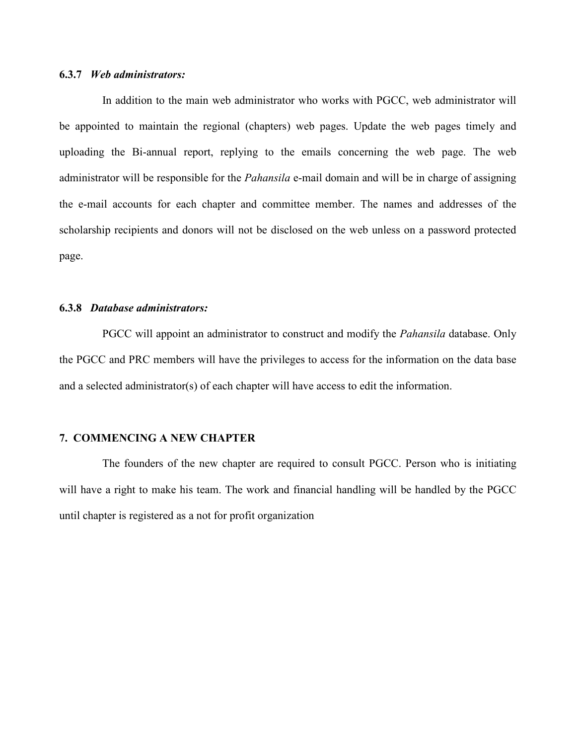## 6.3.7 Web administrators:

 In addition to the main web administrator who works with PGCC, web administrator will be appointed to maintain the regional (chapters) web pages. Update the web pages timely and uploading the Bi-annual report, replying to the emails concerning the web page. The web administrator will be responsible for the Pahansila e-mail domain and will be in charge of assigning the e-mail accounts for each chapter and committee member. The names and addresses of the scholarship recipients and donors will not be disclosed on the web unless on a password protected page.

## 6.3.8 Database administrators:

PGCC will appoint an administrator to construct and modify the *Pahansila* database. Only the PGCC and PRC members will have the privileges to access for the information on the data base and a selected administrator(s) of each chapter will have access to edit the information.

## 7. COMMENCING A NEW CHAPTER

 The founders of the new chapter are required to consult PGCC. Person who is initiating will have a right to make his team. The work and financial handling will be handled by the PGCC until chapter is registered as a not for profit organization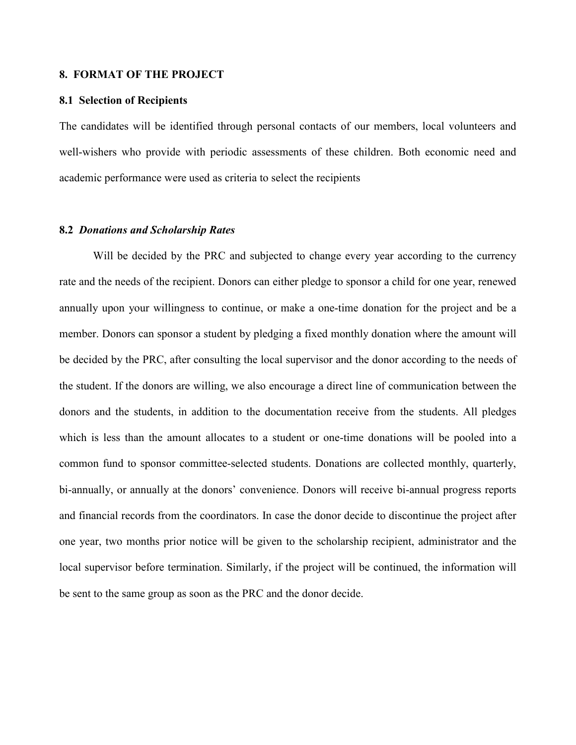## 8. FORMAT OF THE PROJECT

#### 8.1 Selection of Recipients

The candidates will be identified through personal contacts of our members, local volunteers and well-wishers who provide with periodic assessments of these children. Both economic need and academic performance were used as criteria to select the recipients

## 8.2 Donations and Scholarship Rates

Will be decided by the PRC and subjected to change every year according to the currency rate and the needs of the recipient. Donors can either pledge to sponsor a child for one year, renewed annually upon your willingness to continue, or make a one-time donation for the project and be a member. Donors can sponsor a student by pledging a fixed monthly donation where the amount will be decided by the PRC, after consulting the local supervisor and the donor according to the needs of the student. If the donors are willing, we also encourage a direct line of communication between the donors and the students, in addition to the documentation receive from the students. All pledges which is less than the amount allocates to a student or one-time donations will be pooled into a common fund to sponsor committee-selected students. Donations are collected monthly, quarterly, bi-annually, or annually at the donors' convenience. Donors will receive bi-annual progress reports and financial records from the coordinators. In case the donor decide to discontinue the project after one year, two months prior notice will be given to the scholarship recipient, administrator and the local supervisor before termination. Similarly, if the project will be continued, the information will be sent to the same group as soon as the PRC and the donor decide.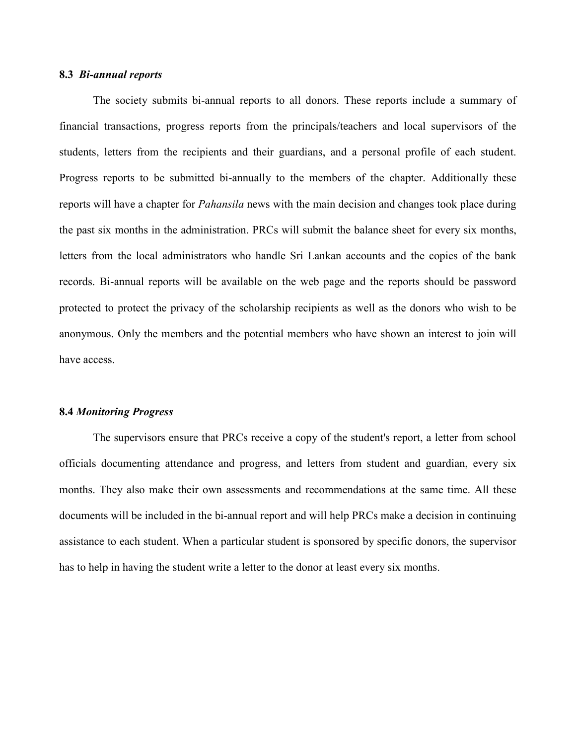## 8.3 Bi-annual reports

The society submits bi-annual reports to all donors. These reports include a summary of financial transactions, progress reports from the principals/teachers and local supervisors of the students, letters from the recipients and their guardians, and a personal profile of each student. Progress reports to be submitted bi-annually to the members of the chapter. Additionally these reports will have a chapter for *Pahansila* news with the main decision and changes took place during the past six months in the administration. PRCs will submit the balance sheet for every six months, letters from the local administrators who handle Sri Lankan accounts and the copies of the bank records. Bi-annual reports will be available on the web page and the reports should be password protected to protect the privacy of the scholarship recipients as well as the donors who wish to be anonymous. Only the members and the potential members who have shown an interest to join will have access.

#### 8.4 Monitoring Progress

The supervisors ensure that PRCs receive a copy of the student's report, a letter from school officials documenting attendance and progress, and letters from student and guardian, every six months. They also make their own assessments and recommendations at the same time. All these documents will be included in the bi-annual report and will help PRCs make a decision in continuing assistance to each student. When a particular student is sponsored by specific donors, the supervisor has to help in having the student write a letter to the donor at least every six months.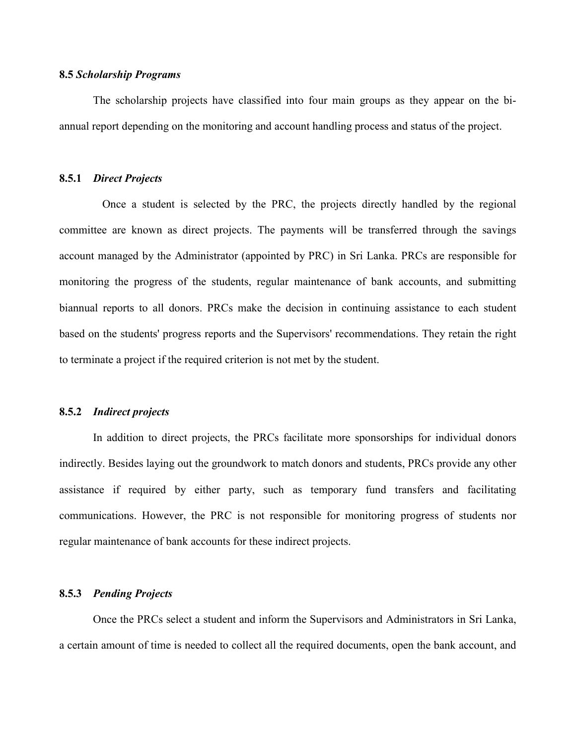## 8.5 Scholarship Programs

 The scholarship projects have classified into four main groups as they appear on the biannual report depending on the monitoring and account handling process and status of the project.

## 8.5.1 Direct Projects

 Once a student is selected by the PRC, the projects directly handled by the regional committee are known as direct projects. The payments will be transferred through the savings account managed by the Administrator (appointed by PRC) in Sri Lanka. PRCs are responsible for monitoring the progress of the students, regular maintenance of bank accounts, and submitting biannual reports to all donors. PRCs make the decision in continuing assistance to each student based on the students' progress reports and the Supervisors' recommendations. They retain the right to terminate a project if the required criterion is not met by the student.

#### 8.5.2 Indirect projects

In addition to direct projects, the PRCs facilitate more sponsorships for individual donors indirectly. Besides laying out the groundwork to match donors and students, PRCs provide any other assistance if required by either party, such as temporary fund transfers and facilitating communications. However, the PRC is not responsible for monitoring progress of students nor regular maintenance of bank accounts for these indirect projects.

## 8.5.3 Pending Projects

Once the PRCs select a student and inform the Supervisors and Administrators in Sri Lanka, a certain amount of time is needed to collect all the required documents, open the bank account, and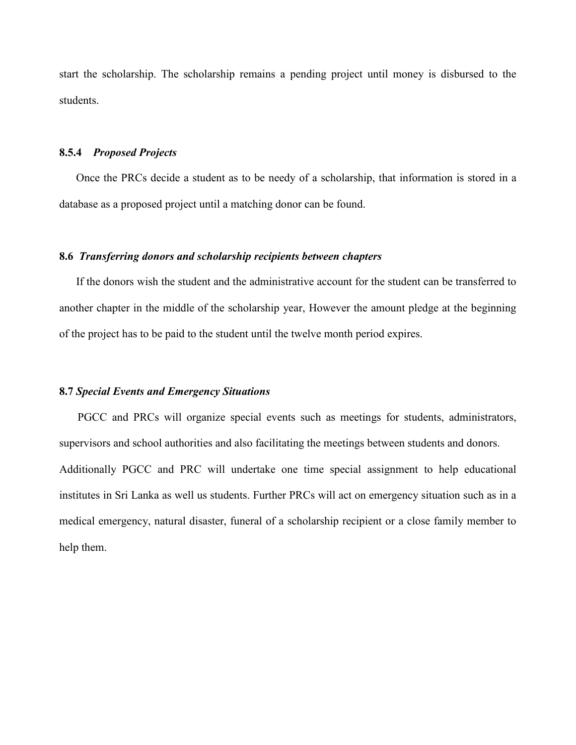start the scholarship. The scholarship remains a pending project until money is disbursed to the students.

## 8.5.4 Proposed Projects

Once the PRCs decide a student as to be needy of a scholarship, that information is stored in a database as a proposed project until a matching donor can be found.

## 8.6 Transferring donors and scholarship recipients between chapters

If the donors wish the student and the administrative account for the student can be transferred to another chapter in the middle of the scholarship year, However the amount pledge at the beginning of the project has to be paid to the student until the twelve month period expires.

## 8.7 Special Events and Emergency Situations

PGCC and PRCs will organize special events such as meetings for students, administrators, supervisors and school authorities and also facilitating the meetings between students and donors. Additionally PGCC and PRC will undertake one time special assignment to help educational institutes in Sri Lanka as well us students. Further PRCs will act on emergency situation such as in a medical emergency, natural disaster, funeral of a scholarship recipient or a close family member to help them.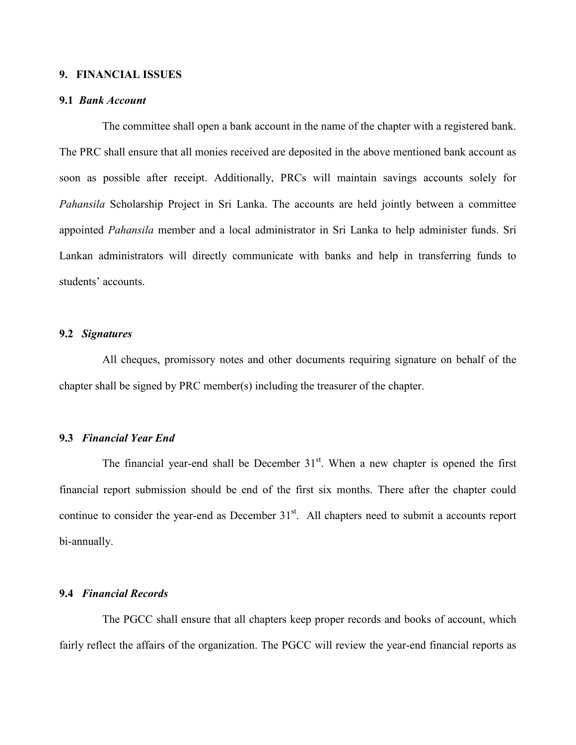## 9. FINANCIAL ISSUES

## 9.1 Bank Account

 The committee shall open a bank account in the name of the chapter with a registered bank. The PRC shall ensure that all monies received are deposited in the above mentioned bank account as soon as possible after receipt. Additionally, PRCs will maintain savings accounts solely for Pahansila Scholarship Project in Sri Lanka. The accounts are held jointly between a committee appointed Pahansila member and a local administrator in Sri Lanka to help administer funds. Sri Lankan administrators will directly communicate with banks and help in transferring funds to students' accounts.

## 9.2 Signatures

 All cheques, promissory notes and other documents requiring signature on behalf of the chapter shall be signed by PRC member(s) including the treasurer of the chapter.

## 9.3 Financial Year End

The financial year-end shall be December  $31<sup>st</sup>$ . When a new chapter is opened the first financial report submission should be end of the first six months. There after the chapter could continue to consider the year-end as December  $31<sup>st</sup>$ . All chapters need to submit a accounts report bi-annually.

#### 9.4 Financial Records

 The PGCC shall ensure that all chapters keep proper records and books of account, which fairly reflect the affairs of the organization. The PGCC will review the year-end financial reports as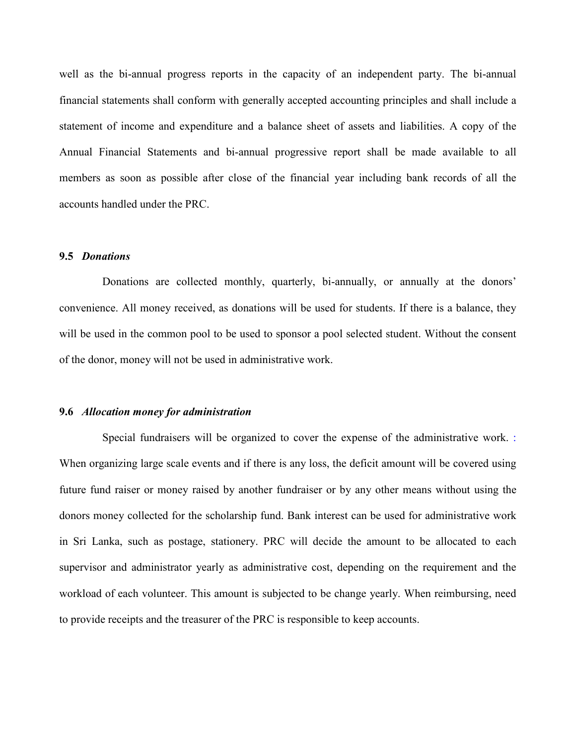well as the bi-annual progress reports in the capacity of an independent party. The bi-annual financial statements shall conform with generally accepted accounting principles and shall include a statement of income and expenditure and a balance sheet of assets and liabilities. A copy of the Annual Financial Statements and bi-annual progressive report shall be made available to all members as soon as possible after close of the financial year including bank records of all the accounts handled under the PRC.

## 9.5 Donations

 Donations are collected monthly, quarterly, bi-annually, or annually at the donors' convenience. All money received, as donations will be used for students. If there is a balance, they will be used in the common pool to be used to sponsor a pool selected student. Without the consent of the donor, money will not be used in administrative work.

#### 9.6 Allocation money for administration

 Special fundraisers will be organized to cover the expense of the administrative work. : When organizing large scale events and if there is any loss, the deficit amount will be covered using future fund raiser or money raised by another fundraiser or by any other means without using the donors money collected for the scholarship fund. Bank interest can be used for administrative work in Sri Lanka, such as postage, stationery. PRC will decide the amount to be allocated to each supervisor and administrator yearly as administrative cost, depending on the requirement and the workload of each volunteer. This amount is subjected to be change yearly. When reimbursing, need to provide receipts and the treasurer of the PRC is responsible to keep accounts.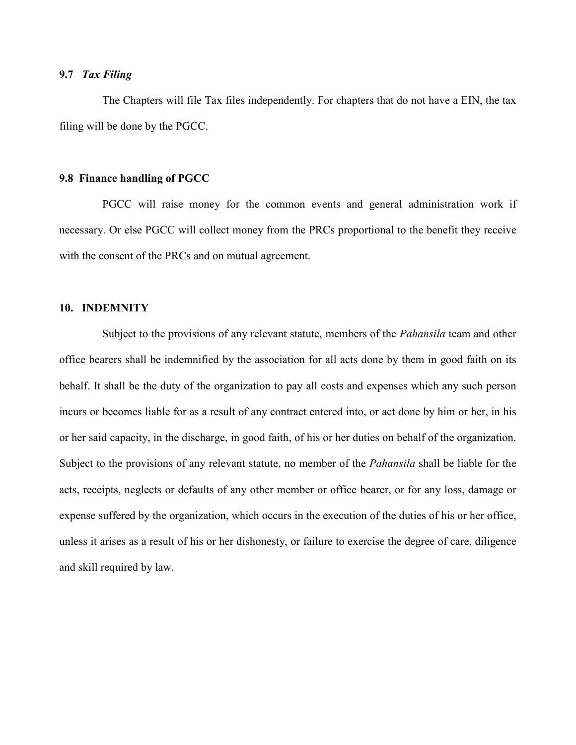## 9.7 Tax Filing

 The Chapters will file Tax files independently. For chapters that do not have a EIN, the tax filing will be done by the PGCC.

## 9.8 Finance handling of PGCC

PGCC will raise money for the common events and general administration work if necessary. Or else PGCC will collect money from the PRCs proportional to the benefit they receive with the consent of the PRCs and on mutual agreement.

## 10. INDEMNITY

Subject to the provisions of any relevant statute, members of the *Pahansila* team and other office bearers shall be indemnified by the association for all acts done by them in good faith on its behalf. It shall be the duty of the organization to pay all costs and expenses which any such person incurs or becomes liable for as a result of any contract entered into, or act done by him or her, in his or her said capacity, in the discharge, in good faith, of his or her duties on behalf of the organization. Subject to the provisions of any relevant statute, no member of the *Pahansila* shall be liable for the acts, receipts, neglects or defaults of any other member or office bearer, or for any loss, damage or expense suffered by the organization, which occurs in the execution of the duties of his or her office, unless it arises as a result of his or her dishonesty, or failure to exercise the degree of care, diligence and skill required by law.